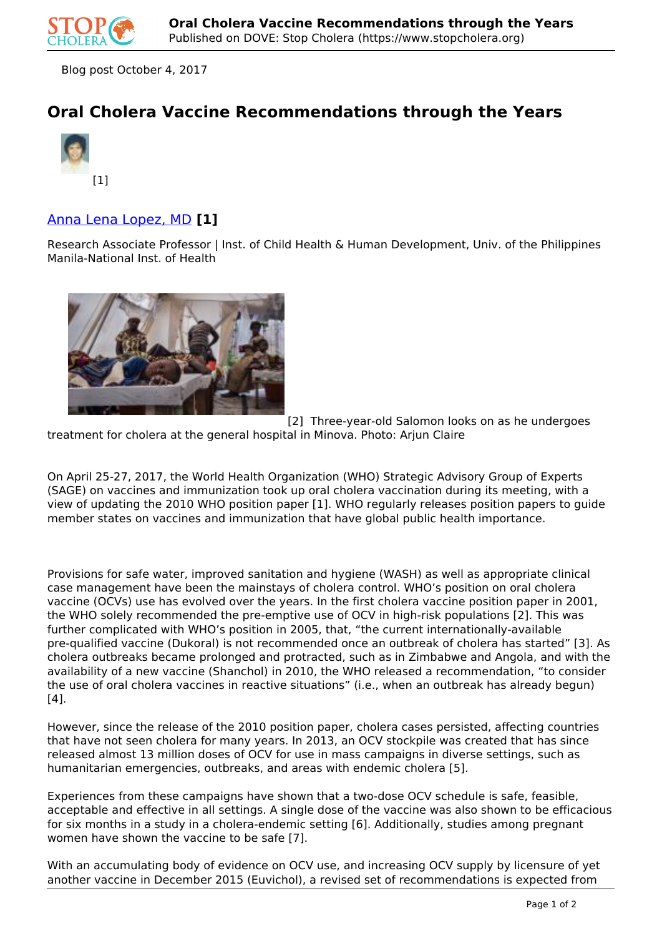

Blog post October 4, 2017

# **Oral Cholera Vaccine Recommendations through the Years**



## Anna Lena Lopez, MD **[1]**

Research Associate Professor | Inst. of Child Health & Human Development, Univ. of the Philippines Manila-National Inst. of Health



[2] Three-year-old Salomon looks on as he undergoes

treatment for cholera at the general hospital in Minova. Photo: Arjun Claire

On April 25-27, 2017, the World Health Organization (WHO) Strategic Advisory Group of Experts (SAGE) on vaccines and immunization took up oral cholera vaccination during its meeting, with a view of updating the 2010 WHO position paper [1]. WHO regularly releases position papers to guide member states on vaccines and immunization that have global public health importance.

Provisions for safe water, improved sanitation and hygiene (WASH) as well as appropriate clinical case management have been the mainstays of cholera control. WHO's position on oral cholera vaccine (OCVs) use has evolved over the years. In the first cholera vaccine position paper in 2001, the WHO solely recommended the pre-emptive use of OCV in high-risk populations [2]. This was further complicated with WHO's position in 2005, that, "the current internationally-available pre-qualified vaccine (Dukoral) is not recommended once an outbreak of cholera has started" [3]. As cholera outbreaks became prolonged and protracted, such as in Zimbabwe and Angola, and with the availability of a new vaccine (Shanchol) in 2010, the WHO released a recommendation, "to consider the use of oral cholera vaccines in reactive situations" (i.e., when an outbreak has already begun)  $[4]$ .

However, since the release of the 2010 position paper, cholera cases persisted, affecting countries that have not seen cholera for many years. In 2013, an OCV stockpile was created that has since released almost 13 million doses of OCV for use in mass campaigns in diverse settings, such as humanitarian emergencies, outbreaks, and areas with endemic cholera [5].

Experiences from these campaigns have shown that a two-dose OCV schedule is safe, feasible, acceptable and effective in all settings. A single dose of the vaccine was also shown to be efficacious for six months in a study in a cholera-endemic setting [6]. Additionally, studies among pregnant women have shown the vaccine to be safe [7].

With an accumulating body of evidence on OCV use, and increasing OCV supply by licensure of yet another vaccine in December 2015 (Euvichol), a revised set of recommendations is expected from